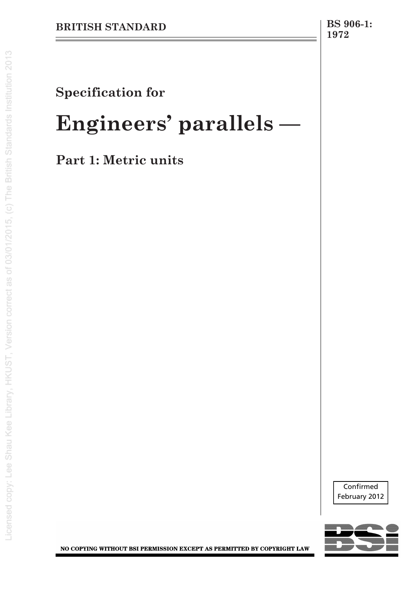# **Specification for**

# **Engineers' parallels —**

**Part 1: Metric units**



NO COPYING WITHOUT BSI PERMISSION EXCEPT AS PERMITTED BY COPYRIGHT LAW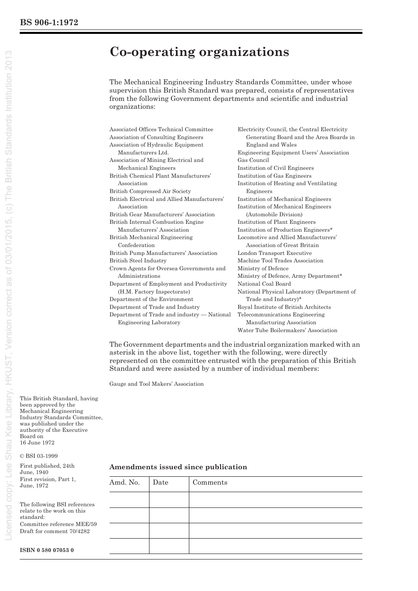# **Co-operating organizations**

The Mechanical Engineering Industry Standards Committee, under whose supervision this British Standard was prepared, consists of representatives from the following Government departments and scientific and industrial organizations:

| Associated Offices Technical Committee       | Electricity Council, the Central Electricity |
|----------------------------------------------|----------------------------------------------|
| <b>Association of Consulting Engineers</b>   | Generating Board and the Area Boards in      |
| Association of Hydraulic Equipment           | England and Wales                            |
| Manufacturers Ltd.                           | Engineering Equipment Users' Association     |
| Association of Mining Electrical and         | Gas Council                                  |
| Mechanical Engineers                         | Institution of Civil Engineers               |
| British Chemical Plant Manufacturers'        | Institution of Gas Engineers                 |
| Association                                  | Institution of Heating and Ventilating       |
| <b>British Compressed Air Society</b>        | Engineers                                    |
| British Electrical and Allied Manufacturers' | Institution of Mechanical Engineers          |
| Association                                  | Institution of Mechanical Engineers          |
| British Gear Manufacturers' Association      | (Automobile Division)                        |
| British Internal Combustion Engine           | Institution of Plant Engineers               |
| Manufacturers' Association                   | Institution of Production Engineers*         |
| British Mechanical Engineering               | Locomotive and Allied Manufacturers'         |
| Confederation                                | Association of Great Britain                 |
| British Pump Manufacturers' Association      | London Transport Executive                   |
| <b>British Steel Industry</b>                | Machine Tool Trades Association              |
| Crown Agents for Oversea Governments and     | Ministry of Defence                          |
| Administrations                              | Ministry of Defence, Army Department*        |
| Department of Employment and Productivity    | National Coal Board                          |
| (H.M. Factory Inspectorate)                  | National Physical Laboratory (Department of  |
| Department of the Environment                | Trade and Industry)*                         |
| Department of Trade and Industry             | Royal Institute of British Architects        |
| Department of Trade and industry — National  | Telecommunications Engineering               |
| <b>Engineering Laboratory</b>                | Manufacturing Association                    |
|                                              | Water Tube Boilermakers' Association         |

The Government departments and the industrial organization marked with an asterisk in the above list, together with the following, were directly represented on the committee entrusted with the preparation of this British Standard and were assisted by a number of individual members:

Gauge and Tool Makers' Association

This British Standard, having been approved by the Mechanical Engineering Industry Standards Committee, was published under the authority of the Executive Board on 16 June 1972

© BSI 03-1999

First published, 24th June, 1940 First revision, Part 1, June, 1972

**ISBN 0 580 07053 0**

The following BSI references relate to the work on this standard: Committee reference MEE/59 Draft for comment 70/4282

**Amendments issued since publication**

| Amd. No. Date | Comments |  |  |
|---------------|----------|--|--|
|               |          |  |  |
|               |          |  |  |
|               |          |  |  |
|               |          |  |  |
|               |          |  |  |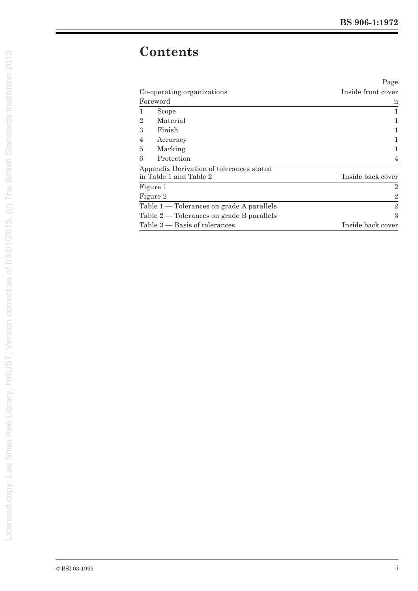# **Contents**

|                |                                             | Page               |
|----------------|---------------------------------------------|--------------------|
|                | Co-operating organizations                  | Inside front cover |
|                | Foreword                                    | 11                 |
| 1              | Scope                                       | 1                  |
| $\overline{2}$ | Material                                    |                    |
| 3              | Finish                                      |                    |
| 4              | Accuracy                                    |                    |
| 5              | Marking                                     |                    |
| 6              | Protection                                  | $\overline{4}$     |
|                | Appendix Derivation of tolerances stated    |                    |
|                | in Table 1 and Table 2                      | Inside back cover  |
|                | Figure 1                                    | $\overline{2}$     |
|                | Figure 2                                    | $\overline{2}$     |
|                | Table $1$ — Tolerances on grade A parallels | $\overline{2}$     |
|                | Table $2$ — Tolerances on grade B parallels | 3                  |
|                | Table $3$ — Basis of tolerances             | Inside back cover  |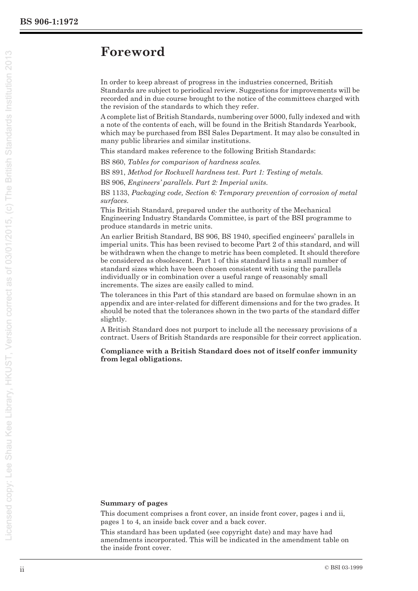# **Foreword**

In order to keep abreast of progress in the industries concerned, British Standards are subject to periodical review. Suggestions for improvements will be recorded and in due course brought to the notice of the committees charged with the revision of the standards to which they refer.

A complete list of British Standards, numbering over 5000, fully indexed and with a note of the contents of each, will be found in the British Standards Yearbook, which may be purchased from BSI Sales Department. It may also be consulted in many public libraries and similar institutions.

This standard makes reference to the following British Standards:

BS 860, *Tables for comparison of hardness scales.* 

BS 891, *Method for Rockwell hardness test. Part 1: Testing of metals.* 

BS 906, *Engineers' parallels. Part 2: Imperial units.* 

BS 1133, *Packaging code, Section 6: Temporary prevention of corrosion of metal surfaces.* 

This British Standard, prepared under the authority of the Mechanical Engineering Industry Standards Committee, is part of the BSI programme to produce standards in metric units.

An earlier British Standard, BS 906, BS 1940, specified engineers' parallels in imperial units. This has been revised to become Part 2 of this standard, and will be withdrawn when the change to metric has been completed. It should therefore be considered as obsolescent. Part 1 of this standard lists a small number of standard sizes which have been chosen consistent with using the parallels individually or in combination over a useful range of reasonably small increments. The sizes are easily called to mind.

The tolerances in this Part of this standard are based on formulae shown in an appendix and are inter-related for different dimensions and for the two grades. It should be noted that the tolerances shown in the two parts of the standard differ slightly.

A British Standard does not purport to include all the necessary provisions of a contract. Users of British Standards are responsible for their correct application.

**Compliance with a British Standard does not of itself confer immunity from legal obligations.**

#### **Summary of pages**

This document comprises a front cover, an inside front cover, pages i and ii, pages 1 to 4, an inside back cover and a back cover.

This standard has been updated (see copyright date) and may have had amendments incorporated. This will be indicated in the amendment table on the inside front cover.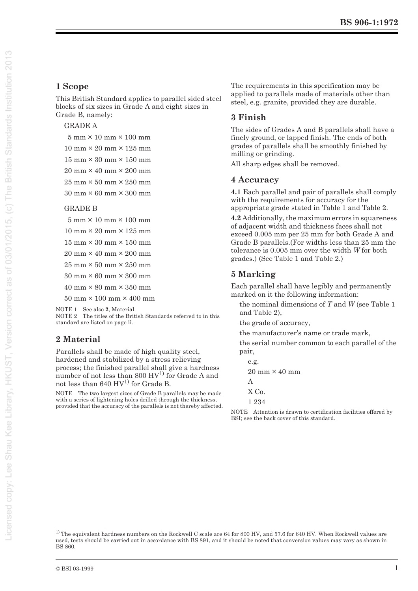### **1 Scope**

This British Standard applies to parallel sided steel blocks of six sizes in Grade A and eight sizes in Grade B, namely:

#### GRADE A

- 5 mm × 10 mm × 100 mm
- $10 \text{ mm} \times 20 \text{ mm} \times 125 \text{ mm}$
- $15 \text{ mm} \times 30 \text{ mm} \times 150 \text{ mm}$
- 20 mm × 40 mm × 200 mm
- $25 \text{ mm} \times 50 \text{ mm} \times 250 \text{ mm}$
- $30 \text{ mm} \times 60 \text{ mm} \times 300 \text{ mm}$

#### GRADE B

- $5 \text{ mm} \times 10 \text{ mm} \times 100 \text{ mm}$
- $10 \text{ mm} \times 20 \text{ mm} \times 125 \text{ mm}$
- 15 mm × 30 mm × 150 mm
- $20 \text{ mm} \times 40 \text{ mm} \times 200 \text{ mm}$
- $25 \text{ mm} \times 50 \text{ mm} \times 250 \text{ mm}$
- 30 mm × 60 mm × 300 mm
- 40 mm × 80 mm × 350 mm
- 50 mm × 100 mm × 400 mm

NOTE 1 See also **2**, Material.

NOTE 2 The titles of the British Standards referred to in this standard are listed on page ii.

## **2 Material**

Parallels shall be made of high quality steel, hardened and stabilized by a stress relieving process; the finished parallel shall give a hardness number of not less than  $800 \text{ HV}^1$  for Grade A and not less than 640  $\mathrm{HV^{1)}}$  for Grade B.

NOTE The two largest sizes of Grade B parallels may be made with a series of lightening holes drilled through the thickness, provided that the accuracy of the parallels is not thereby affected. The requirements in this specification may be applied to parallels made of materials other than steel, e.g. granite, provided they are durable.

### **3 Finish**

The sides of Grades A and B parallels shall have a finely ground, or lapped finish. The ends of both grades of parallels shall be smoothly finished by milling or grinding.

All sharp edges shall be removed.

#### **4 Accuracy**

**4.1** Each parallel and pair of parallels shall comply with the requirements for accuracy for the appropriate grade stated in Table 1 and Table 2.

**4.2** Additionally, the maximum errors in squareness of adjacent width and thickness faces shall not exceed 0.005 mm per 25 mm for both Grade A and Grade B parallels.(For widths less than 25 mm the tolerance is 0.005 mm over the width *W* for both grades.) (See Table 1 and Table 2.)

### **5 Marking**

Each parallel shall have legibly and permanently marked on it the following information:

the nominal dimensions of *T* and *W* (see Table 1 and Table 2),

the grade of accuracy,

the manufacturer's name or trade mark,

the serial number common to each parallel of the pair,

e.g. 20 mm × 40 mm A X Co.

1 234

NOTE Attention is drawn to certification facilities offered by BSI; see the back cover of this standard.

<sup>&</sup>lt;sup>1)</sup> The equivalent hardness numbers on the Rockwell C scale are 64 for 800 HV, and 57.6 for 640 HV. When Rockwell values are used, tests should be carried out in accordance with BS 891, and it should be noted that conversion values may vary as shown in BS 860.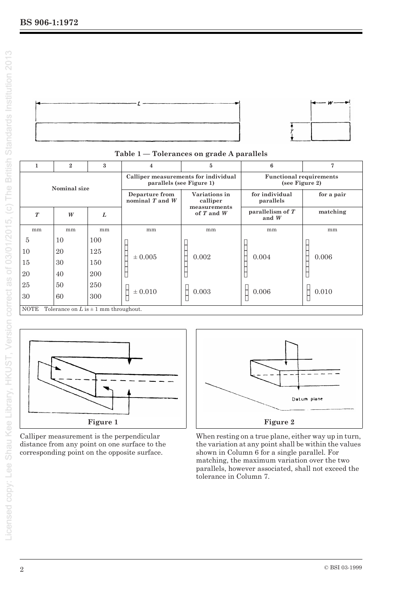

|                                                    | $\mathbf{2}$ | $\boldsymbol{3}$                                                 | $\overline{\mathbf{4}}$               | $\overline{5}$                                   | 6                             | $\overline{7}$ |
|----------------------------------------------------|--------------|------------------------------------------------------------------|---------------------------------------|--------------------------------------------------|-------------------------------|----------------|
| Nominal size                                       |              | Calliper measurements for individual<br>parallels (see Figure 1) |                                       | <b>Functional requirements</b><br>(see Figure 2) |                               |                |
|                                                    |              |                                                                  | Departure from<br>nominal $T$ and $W$ | Variations in<br>calliper                        | for individual<br>parallels   | for a pair     |
| $\boldsymbol{T}$                                   | W            | L                                                                |                                       | measurements<br>of $T$ and $W$                   | parallelism of $T$<br>and $W$ | matching       |
| mm                                                 | mm           | mm                                                               | mm                                    | mm                                               | mm                            | mm             |
| $\overline{5}$                                     | 10           | 100                                                              |                                       |                                                  |                               |                |
| 10                                                 | 20           | 125                                                              | $\pm 0.005$                           | 0.002                                            | 0.004                         | 0.006          |
| 15                                                 | 30           | 150                                                              |                                       |                                                  |                               |                |
| 20                                                 | 40           | 200                                                              |                                       |                                                  |                               |                |
| 25                                                 | 50           | 250                                                              |                                       |                                                  |                               |                |
| 30                                                 | 60           | 300                                                              | $\pm 0.010$                           | 0.003                                            | 0.006                         | 0.010          |
| NOTE<br>Tolerance on $L$ is $\pm$ 1 mm throughout. |              |                                                                  |                                       |                                                  |                               |                |





Calliper measurement is the perpendicular distance from any point on one surface to the corresponding point on the opposite surface.



When resting on a true plane, either way up in turn, the variation at any point shall be within the values shown in Column 6 for a single parallel. For matching, the maximum variation over the two parallels, however associated, shall not exceed the tolerance in Column 7.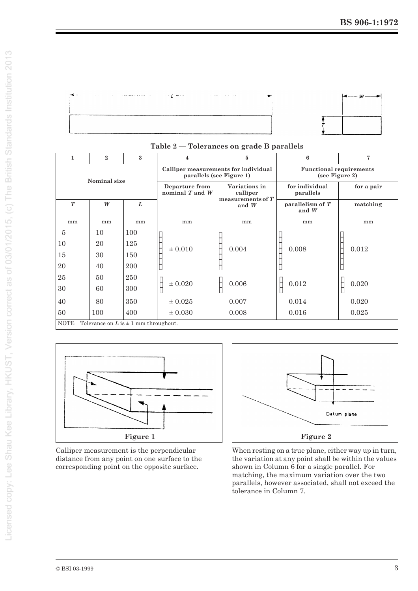

| $\mathbf{1}$                                              | $\mathbf{2}$ | $\mathbf{a}$                                                     | 4                                                | 5                                                | 6                             | 7        |
|-----------------------------------------------------------|--------------|------------------------------------------------------------------|--------------------------------------------------|--------------------------------------------------|-------------------------------|----------|
| Nominal size                                              |              | Calliper measurements for individual<br>parallels (see Figure 1) |                                                  | <b>Functional requirements</b><br>(see Figure 2) |                               |          |
|                                                           |              | Departure from<br>nominal $T$ and $W$                            | Variations in<br>calliper<br>measurements of $T$ | for individual<br>parallels                      | for a pair                    |          |
| $\boldsymbol{T}$                                          | W            | L                                                                |                                                  | and $W$                                          | parallelism of $T$<br>and $W$ | matching |
| mm                                                        | mm           | mm                                                               | mm                                               | mm                                               | mm                            | mm       |
| $\overline{5}$                                            | 10           | 100                                                              |                                                  |                                                  |                               |          |
| 10                                                        | 20           | 125                                                              | $\pm 0.010$                                      | 0.004                                            | 0.008                         | 0.012    |
| 15                                                        | 30           | 150                                                              |                                                  |                                                  |                               |          |
| 20                                                        | 40           | 200                                                              |                                                  |                                                  |                               |          |
| 25                                                        | 50           | 250                                                              |                                                  |                                                  |                               |          |
| 30                                                        | 60           | 300                                                              | $\pm 0.020$                                      | 0.006                                            | 0.012                         | 0.020    |
| 40                                                        | 80           | 350                                                              | $\pm 0.025$                                      | 0.007                                            | 0.014                         | 0.020    |
| 50                                                        | 100          | 400                                                              | $\pm 0.030$                                      | 0.008                                            | 0.016                         | 0.025    |
| <b>NOTE</b><br>Tolerance on $L$ is $\pm$ 1 mm throughout. |              |                                                                  |                                                  |                                                  |                               |          |

#### **Table 2 — Tolerances on grade B parallels**



Calliper measurement is the perpendicular distance from any point on one surface to the corresponding point on the opposite surface.



When resting on a true plane, either way up in turn, the variation at any point shall be within the values shown in Column 6 for a single parallel. For matching, the maximum variation over the two parallels, however associated, shall not exceed the tolerance in Column 7.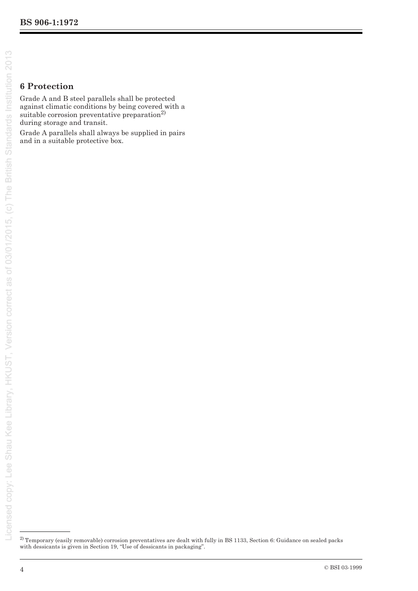# **6 Protection**

Grade A and B steel parallels shall be protected against climatic conditions by being covered with a suitable corrosion preventative preparation<sup>2)</sup> during storage and transit.

Grade A parallels shall always be supplied in pairs and in a suitable protective box.

<sup>&</sup>lt;sup>2)</sup> Temporary (easily removable) corrosion preventatives are dealt with fully in BS 1133, Section 6: Guidance on sealed packs with dessicants is given in Section 19, "Use of dessicants in packaging".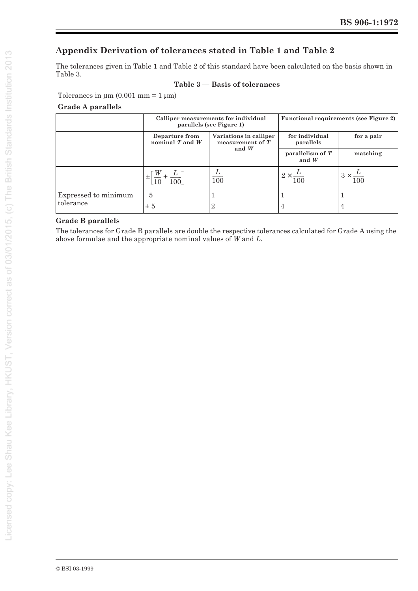### **Appendix Derivation of tolerances stated in Table 1 and Table 2**

The tolerances given in Table 1 and Table 2 of this standard have been calculated on the basis shown in Table 3.

#### **Table 3 — Basis of tolerances**

Tolerances in  $\mu$ m (0.001 mm = 1  $\mu$ m)

### **Grade A parallels**

|                      | Calliper measurements for individual<br>parallels (see Figure 1) |                                                         | <b>Functional requirements (see Figure 2)</b> |                          |
|----------------------|------------------------------------------------------------------|---------------------------------------------------------|-----------------------------------------------|--------------------------|
|                      | Departure from<br>nominal $T$ and $W$                            | Variations in calliper<br>measurement of $T$<br>and $W$ | for individual<br>parallels                   | for a pair               |
|                      |                                                                  |                                                         | parallelism of $T$<br>and $W$                 | matching                 |
|                      | $\pm \left[\frac{W}{10} + \frac{L}{100}\right]$                  | $\overline{100}$                                        | $2 \times \frac{L}{2}$<br>100                 | $3 \times \frac{L}{100}$ |
| Expressed to minimum | $\overline{5}$                                                   |                                                         |                                               |                          |
| tolerance            | ± 5                                                              | $\overline{2}$                                          |                                               | 4                        |

#### **Grade B parallels**

The tolerances for Grade B parallels are double the respective tolerances calculated for Grade A using the above formulae and the appropriate nominal values of *W* and *L*.